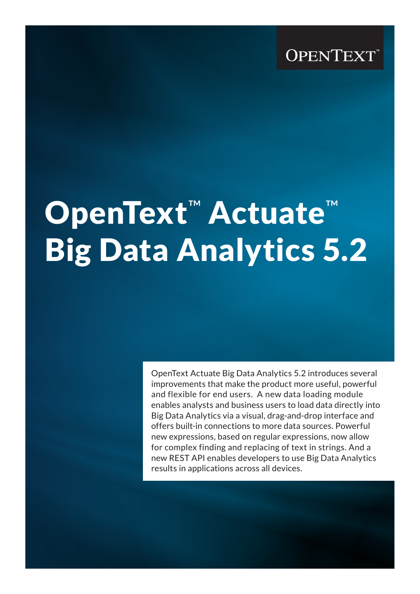# **OPENTEXT**

# OpenText<sup>™</sup> Actuate<sup>™</sup> Big Data Analytics 5.2

OpenText Actuate Big Data Analytics 5.2 introduces several improvements that make the product more useful, powerful and flexible for end users. A new data loading module enables analysts and business users to load data directly into Big Data Analytics via a visual, drag-and-drop interface and offers built-in connections to more data sources. Powerful new expressions, based on regular expressions, now allow for complex finding and replacing of text in strings. And a new REST API enables developers to use Big Data Analytics results in applications across all devices.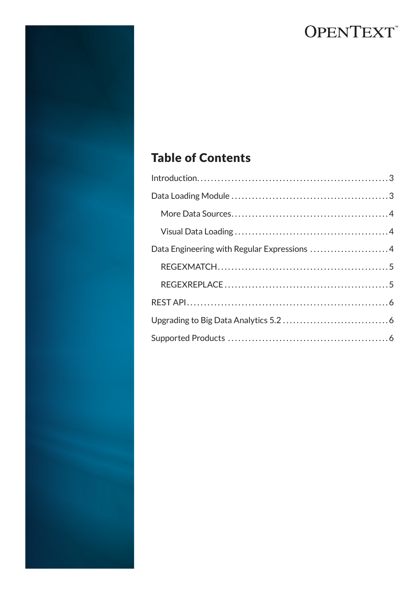# **OPENTEXT**

# Table of Contents

| Data Engineering with Regular Expressions 4 |  |
|---------------------------------------------|--|
|                                             |  |
|                                             |  |
|                                             |  |
|                                             |  |
|                                             |  |
|                                             |  |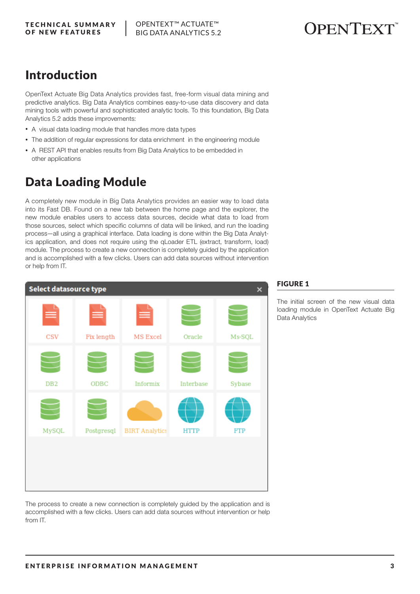### Introduction

OpenText Actuate Big Data Analytics provides fast, free-form visual data mining and predictive analytics. Big Data Analytics combines easy-to-use data discovery and data mining tools with powerful and sophisticated analytic tools. To this foundation, Big Data Analytics 5.2 adds these improvements:

- A visual data loading module that handles more data types
- The addition of regular expressions for data enrichment in the engineering module
- A REST API that enables results from Big Data Analytics to be embedded in other applications

# Data Loading Module

A completely new module in Big Data Analytics provides an easier way to load data into its Fast DB. Found on a new tab between the home page and the explorer, the new module enables users to access data sources, decide what data to load from those sources, select which specific columns of data will be linked, and run the loading process—all using a graphical interface. Data loading is done within the Big Data Analytics application, and does not require using the qLoader ETL (extract, transform, load) module. The process to create a new connection is completely guided by the application and is accomplished with a few clicks. Users can add data sources without intervention or help from IT.



The process to create a new connection is completely guided by the application and is accomplished with a few clicks. Users can add data sources without intervention or help from IT.

### FIGURE 1

The initial screen of the new visual data loading module in OpenText Actuate Big Data Analytics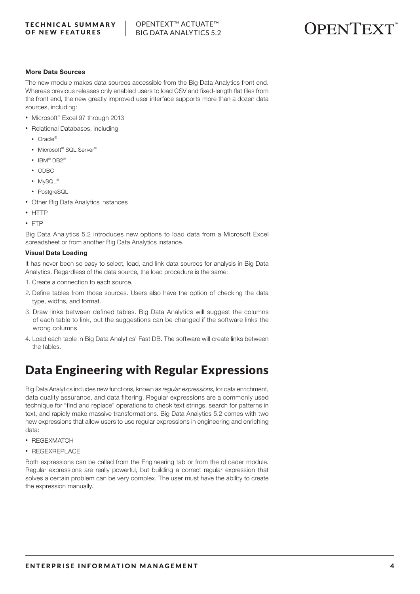TECHNICAL SUMMARY OF NEW FEATURES



### More Data Sources

The new module makes data sources accessible from the Big Data Analytics front end. Whereas previous releases only enabled users to load CSV and fixed-length flat files from the front end, the new greatly improved user interface supports more than a dozen data sources, including:

- Microsoft<sup>®</sup> Excel 97 through 2013
- Relational Databases, including
	- Oracle®
	- Microsoft® SQL Server®
	- IBM<sup>®</sup> DB2<sup>®</sup>
	- ODBC
	- MySQL®
	- PostgreSQL
- Other Big Data Analytics instances
- HTTP
- FTP

Big Data Analytics 5.2 introduces new options to load data from a Microsoft Excel spreadsheet or from another Big Data Analytics instance.

### Visual Data Loading

It has never been so easy to select, load, and link data sources for analysis in Big Data Analytics. Regardless of the data source, the load procedure is the same:

- 1. Create a connection to each source.
- 2. Define tables from those sources. Users also have the option of checking the data type, widths, and format.
- 3. Draw links between defined tables. Big Data Analytics will suggest the columns of each table to link, but the suggestions can be changed if the software links the wrong columns.
- 4. Load each table in Big Data Analytics' Fast DB. The software will create links between the tables.

# Data Engineering with Regular Expressions

Big Data Analytics includes new functions, known as *regular expressions*, for data enrichment, data quality assurance, and data filtering. Regular expressions are a commonly used technique for "find and replace" operations to check text strings, search for patterns in text, and rapidly make massive transformations. Big Data Analytics 5.2 comes with two new expressions that allow users to use regular expressions in engineering and enriching data:

- REGEXMATCH
- REGEXREPLACE

Both expressions can be called from the Engineering tab or from the qLoader module. Regular expressions are really powerful, but building a correct regular expression that solves a certain problem can be very complex. The user must have the ability to create the expression manually.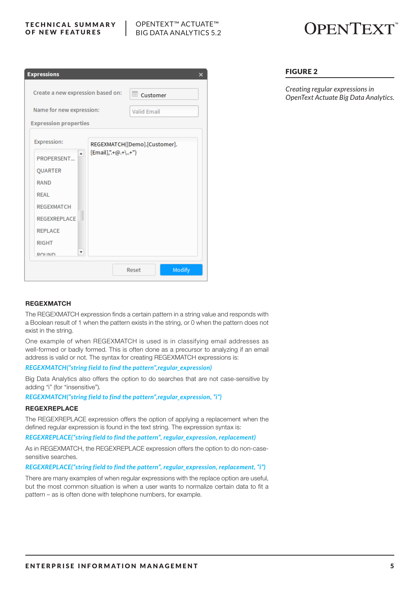#### TECHNICAL SUMMARY OF NEW FEATURES

### OPENTEXT™ ACTUATE™ BIG DATA ANALYTICS 5.2

# **OPENTEXT**

| <b>Expressions</b>                |                    |                               | ×      |
|-----------------------------------|--------------------|-------------------------------|--------|
| Create a new expression based on: |                    | <b>ELE</b> Customer           |        |
| Name for new expression:          |                    | <b>Valid Email</b>            |        |
| <b>Expression properties</b>      |                    |                               |        |
| Expression:                       |                    | REGEXMATCH([Demo].[Customer]. |        |
| $\blacktriangle$<br>PROPERSENT    | [Email],".+@.+\+") |                               |        |
| <b>OUARTER</b>                    |                    |                               |        |
| <b>RAND</b>                       |                    |                               |        |
| <b>REAL</b>                       |                    |                               |        |
| <b>REGEXMATCH</b>                 |                    |                               |        |
| REGEXREPLACE                      |                    |                               |        |
| <b>REPLACE</b>                    |                    |                               |        |
| <b>RIGHT</b>                      |                    |                               |        |
| ۰<br><b>ROLIND</b>                |                    |                               |        |
|                                   |                    | Reset                         | Modify |

### FIGURE 2

*Creating regular expressions in OpenText Actuate Big Data Analytics.*

### **REGEXMATCH**

The REGEXMATCH expression finds a certain pattern in a string value and responds with a Boolean result of 1 when the pattern exists in the string, or 0 when the pattern does not exist in the string.

One example of when REGEXMATCH is used is in classifying email addresses as well-formed or badly formed. This is often done as a precursor to analyzing if an email address is valid or not. The syntax for creating REGEXMATCH expressions is:

### *REGEXMATCH("string field to find the pattern",regular\_expression)*

Big Data Analytics also offers the option to do searches that are not case-sensitive by adding "i" (for "insensitive").

*REGEXMATCH("string field to find the pattern",regular\_expression, "i")*

#### **REGEXREPLACE**

The REGEXREPLACE expression offers the option of applying a replacement when the defined regular expression is found in the text string. The expression syntax is:

*REGEXREPLACE("string field to find the pattern", regular\_expression, replacement)*

As in REGEXMATCH, the REGEXREPLACE expression offers the option to do non-casesensitive searches.

#### *REGEXREPLACE("string field to find the pattern", regular\_expression, replacement, "i")*

There are many examples of when regular expressions with the replace option are useful, but the most common situation is when a user wants to normalize certain data to fit a pattern – as is often done with telephone numbers, for example.